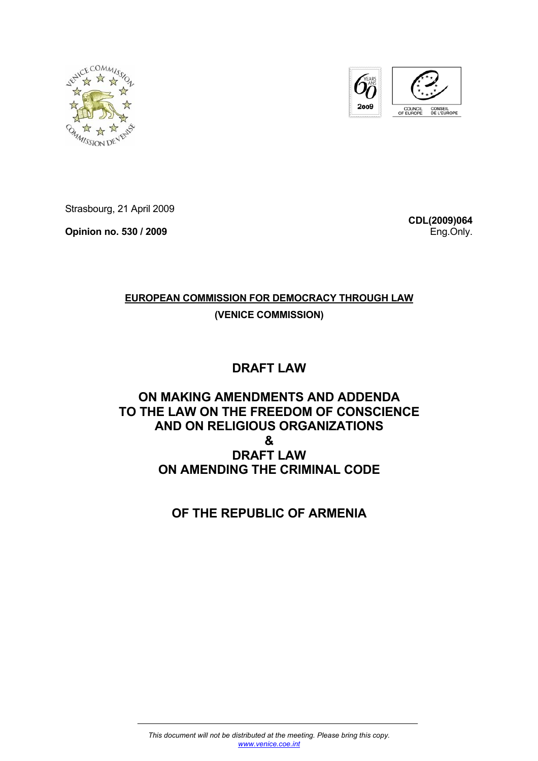



Strasbourg, 21 April 2009

**Opinion no. 530 / 2009** 

**CDL(2009)064** Eng.Only.

### **EUROPEAN COMMISSION FOR DEMOCRACY THROUGH LAW**

**(VENICE COMMISSION)**

# **DRAFT LAW**

## **ON MAKING AMENDMENTS AND ADDENDA TO THE LAW ON THE FREEDOM OF CONSCIENCE AND ON RELIGIOUS ORGANIZATIONS & DRAFT LAW ON AMENDING THE CRIMINAL CODE**

**OF THE REPUBLIC OF ARMENIA**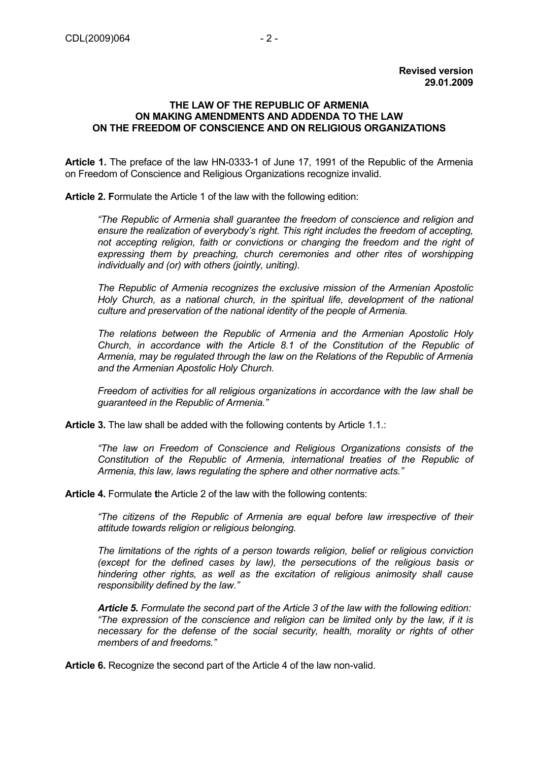### **THE LAW OF THE REPUBLIC OF ARMENIA ON MAKING AMENDMENTS AND ADDENDA TO THE LAW ON THE FREEDOM OF CONSCIENCE AND ON RELIGIOUS ORGANIZATIONS**

**Article 1.** The preface of the law HN-0333-1 of June 17, 1991 of the Republic of the Armenia on Freedom of Conscience and Religious Organizations recognize invalid.

**Article 2. F**ormulate the Article 1 of the law with the following edition:

*"The Republic of Armenia shall guarantee the freedom of conscience and religion and ensure the realization of everybody's right. This right includes the freedom of accepting, not accepting religion, faith or convictions or changing the freedom and the right of expressing them by preaching, church ceremonies and other rites of worshipping individually and (or) with others (jointly, uniting).* 

*The Republic of Armenia recognizes the exclusive mission of the Armenian Apostolic Holy Church, as a national church, in the spiritual life, development of the national culture and preservation of the national identity of the people of Armenia.* 

*The relations between the Republic of Armenia and the Armenian Apostolic Holy Church, in accordance with the Article 8.1 of the Constitution of the Republic of Armenia, may be regulated through the law on the Relations of the Republic of Armenia and the Armenian Apostolic Holy Church.* 

*Freedom of activities for all religious organizations in accordance with the law shall be guaranteed in the Republic of Armenia."*

**Article 3.** The law shall be added with the following contents by Article 1.1.:

*"The law on Freedom of Conscience and Religious Organizations consists of the Constitution of the Republic of Armenia, international treaties of the Republic of Armenia, this law, laws regulating the sphere and other normative acts."* 

**Article 4.** Formulate **t**he Article 2 of the law with the following contents:

*"The citizens of the Republic of Armenia are equal before law irrespective of their attitude towards religion or religious belonging.* 

*The limitations of the rights of a person towards religion, belief or religious conviction (except for the defined cases by law), the persecutions of the religious basis or hindering other rights, as well as the excitation of religious animosity shall cause responsibility defined by the law."* 

*Article 5. Formulate the second part of the Article 3 of the law with the following edition: "The expression of the conscience and religion can be limited only by the law, if it is necessary for the defense of the social security, health, morality or rights of other members of and freedoms."*

**Article 6.** Recognize the second part of the Article 4 of the law non-valid.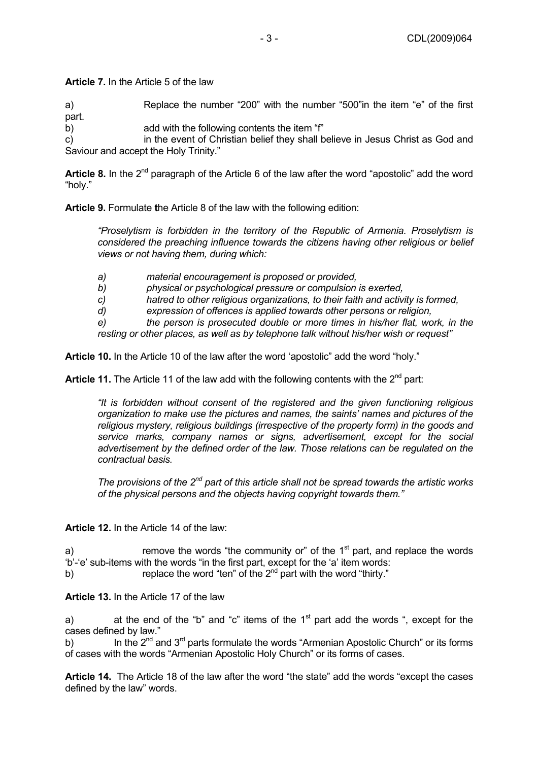**Article 7.** In the Article 5 of the law

a) Replace the number "200" with the number "500"in the item "e" of the first part.

b) add with the following contents the item "f"

c) in the event of Christian belief they shall believe in Jesus Christ as God and Saviour and accept the Holy Trinity."

Article 8. In the 2<sup>nd</sup> paragraph of the Article 6 of the law after the word "apostolic" add the word "holy."

**Article 9.** Formulate **t**he Article 8 of the law with the following edition:

*"Proselytism is forbidden in the territory of the Republic of Armenia. Proselytism is considered the preaching influence towards the citizens having other religious or belief views or not having them, during which:* 

- *a) material encouragement is proposed or provided,*
- *b) physical or psychological pressure or compulsion is exerted,*
- *c) hatred to other religious organizations, to their faith and activity is formed,*
- *d) expression of offences is applied towards other persons or religion,*

*e) the person is prosecuted double or more times in his/her flat, work, in the resting or other places, as well as by telephone talk without his/her wish or request"* 

**Article 10.** In the Article 10 of the law after the word 'apostolic" add the word "holy."

**Article 11.** The Article 11 of the law add with the following contents with the  $2^{nd}$  part:

*"It is forbidden without consent of the registered and the given functioning religious organization to make use the pictures and names, the saints' names and pictures of the religious mystery, religious buildings (irrespective of the property form) in the goods and service marks, company names or signs, advertisement, except for the social advertisement by the defined order of the law. Those relations can be regulated on the contractual basis.* 

*The provisions of the 2nd part of this article shall not be spread towards the artistic works of the physical persons and the objects having copyright towards them."* 

**Article 12.** In the Article 14 of the law:

a) remove the words "the community or" of the  $1<sup>st</sup>$  part, and replace the words 'b'-'e' sub-items with the words "in the first part, except for the 'a' item words:

b) replace the word "ten" of the 2<sup>nd</sup> part with the word "thirty."

**Article 13.** In the Article 17 of the law

a) at the end of the "b" and "c" items of the  $1<sup>st</sup>$  part add the words ", except for the cases defined by law."

b) In the  $2^{nd}$  and  $3^{rd}$  parts formulate the words "Armenian Apostolic Church" or its forms of cases with the words "Armenian Apostolic Holy Church" or its forms of cases.

**Article 14.** The Article 18 of the law after the word "the state" add the words "except the cases defined by the law" words.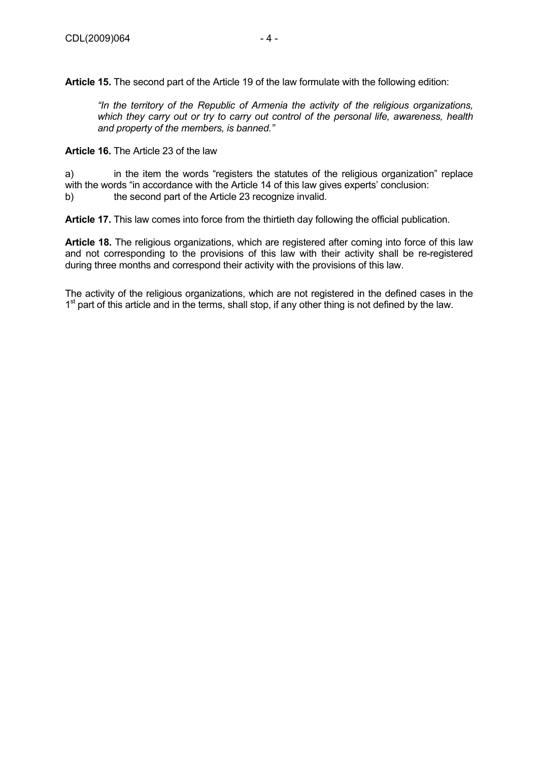**Article 15.** The second part of the Article 19 of the law formulate with the following edition:

*"In the territory of the Republic of Armenia the activity of the religious organizations, which they carry out or try to carry out control of the personal life, awareness, health and property of the members, is banned."* 

**Article 16.** The Article 23 of the law

a) in the item the words "registers the statutes of the religious organization" replace with the words "in accordance with the Article 14 of this law gives experts' conclusion:

b) the second part of the Article 23 recognize invalid.

**Article 17.** This law comes into force from the thirtieth day following the official publication.

**Article 18.** The religious organizations, which are registered after coming into force of this law and not corresponding to the provisions of this law with their activity shall be re-registered during three months and correspond their activity with the provisions of this law.

The activity of the religious organizations, which are not registered in the defined cases in the 1<sup>st</sup> part of this article and in the terms, shall stop, if any other thing is not defined by the law.